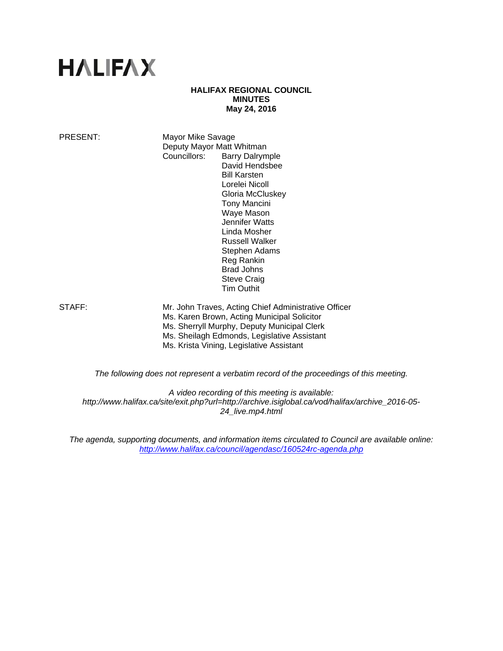# **HALIFAX**

#### **HALIFAX REGIONAL COUNCIL MINUTES May 24, 2016**

PRESENT: Mayor Mike Savage Deputy Mayor Matt Whitman Councillors: Barry Dalrymple David Hendsbee Bill Karsten Lorelei Nicoll Gloria McCluskey Tony Mancini Waye Mason Jennifer Watts Linda Mosher Russell Walker Stephen Adams Reg Rankin Brad Johns Steve Craig Tim Outhit

STAFF: Mr. John Traves, Acting Chief Administrative Officer Ms. Karen Brown, Acting Municipal Solicitor Ms. Sherryll Murphy, Deputy Municipal Clerk Ms. Sheilagh Edmonds, Legislative Assistant Ms. Krista Vining, Legislative Assistant

*The following does not represent a verbatim record of the proceedings of this meeting.* 

*A video recording of this meeting is available: http://www.halifax.ca/site/exit.php?url=http://archive.isiglobal.ca/vod/halifax/archive\_2016-05- 24\_live.mp4.html* 

*The agenda, supporting documents, and information items circulated to Council are available online: http://www.halifax.ca/council/agendasc/160524rc-agenda.php*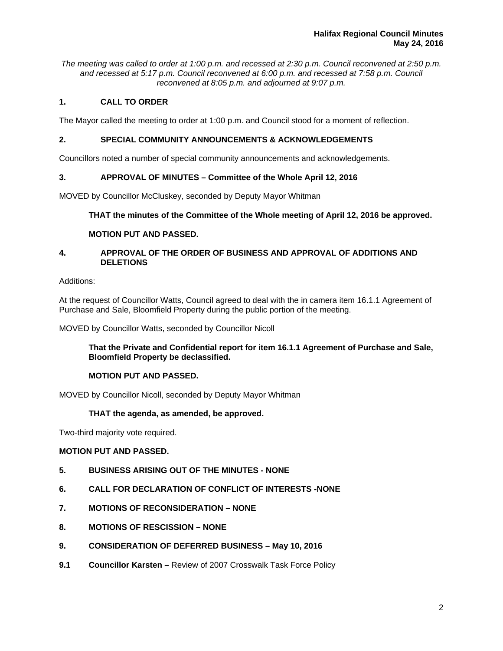*The meeting was called to order at 1:00 p.m. and recessed at 2:30 p.m. Council reconvened at 2:50 p.m. and recessed at 5:17 p.m. Council reconvened at 6:00 p.m. and recessed at 7:58 p.m. Council reconvened at 8:05 p.m. and adjourned at 9:07 p.m.* 

# **1. CALL TO ORDER**

The Mayor called the meeting to order at 1:00 p.m. and Council stood for a moment of reflection.

## **2. SPECIAL COMMUNITY ANNOUNCEMENTS & ACKNOWLEDGEMENTS**

Councillors noted a number of special community announcements and acknowledgements.

# **3. APPROVAL OF MINUTES – Committee of the Whole April 12, 2016**

MOVED by Councillor McCluskey, seconded by Deputy Mayor Whitman

# **THAT the minutes of the Committee of the Whole meeting of April 12, 2016 be approved.**

#### **MOTION PUT AND PASSED.**

# **4. APPROVAL OF THE ORDER OF BUSINESS AND APPROVAL OF ADDITIONS AND DELETIONS**

#### Additions:

At the request of Councillor Watts, Council agreed to deal with the in camera item 16.1.1 Agreement of Purchase and Sale, Bloomfield Property during the public portion of the meeting.

MOVED by Councillor Watts, seconded by Councillor Nicoll

**That the Private and Confidential report for item 16.1.1 Agreement of Purchase and Sale, Bloomfield Property be declassified.** 

#### **MOTION PUT AND PASSED.**

MOVED by Councillor Nicoll, seconded by Deputy Mayor Whitman

#### **THAT the agenda, as amended, be approved.**

Two-third majority vote required.

#### **MOTION PUT AND PASSED.**

- **5. BUSINESS ARISING OUT OF THE MINUTES NONE**
- **6. CALL FOR DECLARATION OF CONFLICT OF INTERESTS -NONE**
- **7. MOTIONS OF RECONSIDERATION NONE**
- **8. MOTIONS OF RESCISSION NONE**
- **9. CONSIDERATION OF DEFERRED BUSINESS May 10, 2016**
- **9.1 Councillor Karsten** Review of 2007 Crosswalk Task Force Policy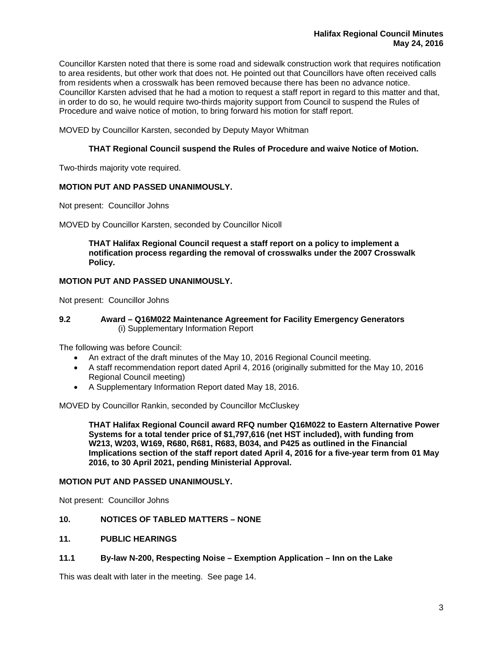Councillor Karsten noted that there is some road and sidewalk construction work that requires notification to area residents, but other work that does not. He pointed out that Councillors have often received calls from residents when a crosswalk has been removed because there has been no advance notice. Councillor Karsten advised that he had a motion to request a staff report in regard to this matter and that, in order to do so, he would require two-thirds majority support from Council to suspend the Rules of Procedure and waive notice of motion, to bring forward his motion for staff report.

MOVED by Councillor Karsten, seconded by Deputy Mayor Whitman

# **THAT Regional Council suspend the Rules of Procedure and waive Notice of Motion.**

Two-thirds majority vote required.

# **MOTION PUT AND PASSED UNANIMOUSLY.**

Not present: Councillor Johns

MOVED by Councillor Karsten, seconded by Councillor Nicoll

**THAT Halifax Regional Council request a staff report on a policy to implement a notification process regarding the removal of crosswalks under the 2007 Crosswalk Policy.** 

# **MOTION PUT AND PASSED UNANIMOUSLY.**

Not present: Councillor Johns

#### **9.2 Award – Q16M022 Maintenance Agreement for Facility Emergency Generators**  (i) Supplementary Information Report

The following was before Council:

- An extract of the draft minutes of the May 10, 2016 Regional Council meeting.
- A staff recommendation report dated April 4, 2016 (originally submitted for the May 10, 2016 Regional Council meeting)
- A Supplementary Information Report dated May 18, 2016.

MOVED by Councillor Rankin, seconded by Councillor McCluskey

**THAT Halifax Regional Council award RFQ number Q16M022 to Eastern Alternative Power Systems for a total tender price of \$1,797,616 (net HST included), with funding from W213, W203, W169, R680, R681, R683, B034, and P425 as outlined in the Financial Implications section of the staff report dated April 4, 2016 for a five-year term from 01 May 2016, to 30 April 2021, pending Ministerial Approval.** 

#### **MOTION PUT AND PASSED UNANIMOUSLY.**

Not present: Councillor Johns

#### **10. NOTICES OF TABLED MATTERS – NONE**

## **11. PUBLIC HEARINGS**

#### **11.1 By-law N-200, Respecting Noise – Exemption Application – Inn on the Lake**

This was dealt with later in the meeting. See page 14.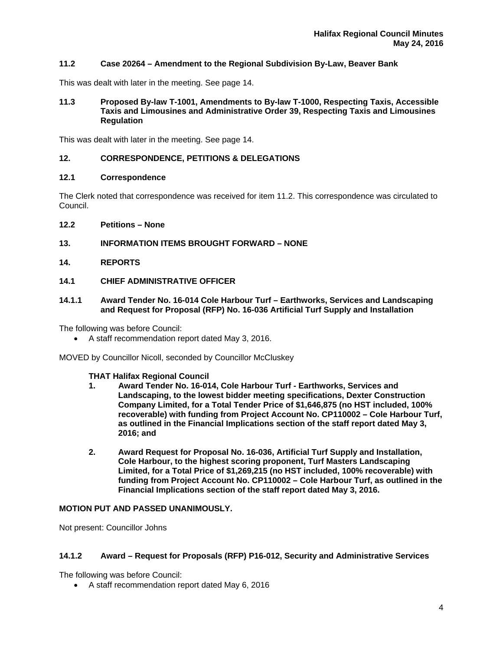# **11.2 Case 20264 – Amendment to the Regional Subdivision By-Law, Beaver Bank**

This was dealt with later in the meeting. See page 14.

#### **11.3 Proposed By-law T-1001, Amendments to By-law T-1000, Respecting Taxis, Accessible Taxis and Limousines and Administrative Order 39, Respecting Taxis and Limousines Regulation**

This was dealt with later in the meeting. See page 14.

# **12. CORRESPONDENCE, PETITIONS & DELEGATIONS**

#### **12.1 Correspondence**

The Clerk noted that correspondence was received for item 11.2. This correspondence was circulated to Council.

- **12.2 Petitions None**
- **13. INFORMATION ITEMS BROUGHT FORWARD NONE**
- **14. REPORTS**
- **14.1 CHIEF ADMINISTRATIVE OFFICER**
- **14.1.1 Award Tender No. 16-014 Cole Harbour Turf Earthworks, Services and Landscaping and Request for Proposal (RFP) No. 16-036 Artificial Turf Supply and Installation**

The following was before Council:

A staff recommendation report dated May 3, 2016.

MOVED by Councillor Nicoll, seconded by Councillor McCluskey

#### **THAT Halifax Regional Council**

- **1. Award Tender No. 16-014, Cole Harbour Turf Earthworks, Services and Landscaping, to the lowest bidder meeting specifications, Dexter Construction Company Limited, for a Total Tender Price of \$1,646,875 (no HST included, 100% recoverable) with funding from Project Account No. CP110002 – Cole Harbour Turf, as outlined in the Financial Implications section of the staff report dated May 3, 2016; and**
- **2. Award Request for Proposal No. 16-036, Artificial Turf Supply and Installation, Cole Harbour, to the highest scoring proponent, Turf Masters Landscaping Limited, for a Total Price of \$1,269,215 (no HST included, 100% recoverable) with funding from Project Account No. CP110002 – Cole Harbour Turf, as outlined in the Financial Implications section of the staff report dated May 3, 2016.**

## **MOTION PUT AND PASSED UNANIMOUSLY.**

Not present: Councillor Johns

#### **14.1.2 Award – Request for Proposals (RFP) P16-012, Security and Administrative Services**

The following was before Council:

A staff recommendation report dated May 6, 2016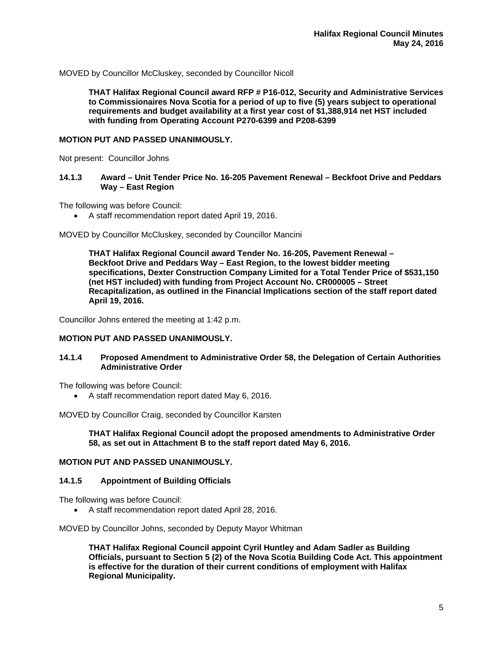MOVED by Councillor McCluskey, seconded by Councillor Nicoll

**THAT Halifax Regional Council award RFP # P16-012, Security and Administrative Services to Commissionaires Nova Scotia for a period of up to five (5) years subject to operational requirements and budget availability at a first year cost of \$1,388,914 net HST included with funding from Operating Account P270-6399 and P208-6399** 

#### **MOTION PUT AND PASSED UNANIMOUSLY.**

Not present: Councillor Johns

## **14.1.3 Award – Unit Tender Price No. 16-205 Pavement Renewal – Beckfoot Drive and Peddars Way – East Region**

The following was before Council:

A staff recommendation report dated April 19, 2016.

MOVED by Councillor McCluskey, seconded by Councillor Mancini

**THAT Halifax Regional Council award Tender No. 16-205, Pavement Renewal – Beckfoot Drive and Peddars Way – East Region, to the lowest bidder meeting specifications, Dexter Construction Company Limited for a Total Tender Price of \$531,150 (net HST included) with funding from Project Account No. CR000005 – Street Recapitalization, as outlined in the Financial Implications section of the staff report dated April 19, 2016.** 

Councillor Johns entered the meeting at 1:42 p.m.

#### **MOTION PUT AND PASSED UNANIMOUSLY.**

#### **14.1.4 Proposed Amendment to Administrative Order 58, the Delegation of Certain Authorities Administrative Order**

The following was before Council:

A staff recommendation report dated May 6, 2016.

MOVED by Councillor Craig, seconded by Councillor Karsten

**THAT Halifax Regional Council adopt the proposed amendments to Administrative Order 58, as set out in Attachment B to the staff report dated May 6, 2016.** 

#### **MOTION PUT AND PASSED UNANIMOUSLY.**

#### **14.1.5 Appointment of Building Officials**

The following was before Council:

A staff recommendation report dated April 28, 2016.

MOVED by Councillor Johns, seconded by Deputy Mayor Whitman

**THAT Halifax Regional Council appoint Cyril Huntley and Adam Sadler as Building Officials, pursuant to Section 5 (2) of the Nova Scotia Building Code Act. This appointment is effective for the duration of their current conditions of employment with Halifax Regional Municipality.**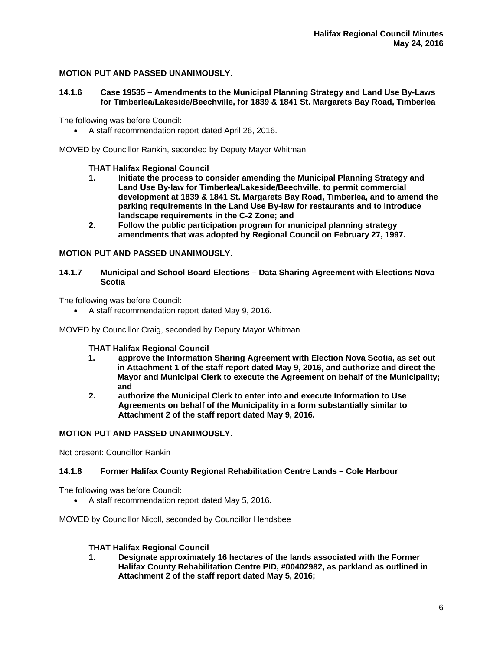# **MOTION PUT AND PASSED UNANIMOUSLY.**

# **14.1.6 Case 19535 – Amendments to the Municipal Planning Strategy and Land Use By-Laws for Timberlea/Lakeside/Beechville, for 1839 & 1841 St. Margarets Bay Road, Timberlea**

The following was before Council:

A staff recommendation report dated April 26, 2016.

MOVED by Councillor Rankin, seconded by Deputy Mayor Whitman

# **THAT Halifax Regional Council**

- **1. Initiate the process to consider amending the Municipal Planning Strategy and Land Use By-law for Timberlea/Lakeside/Beechville, to permit commercial development at 1839 & 1841 St. Margarets Bay Road, Timberlea, and to amend the parking requirements in the Land Use By-law for restaurants and to introduce landscape requirements in the C-2 Zone; and**
- **2. Follow the public participation program for municipal planning strategy amendments that was adopted by Regional Council on February 27, 1997.**

# **MOTION PUT AND PASSED UNANIMOUSLY.**

**14.1.7 Municipal and School Board Elections – Data Sharing Agreement with Elections Nova Scotia** 

The following was before Council:

A staff recommendation report dated May 9, 2016.

MOVED by Councillor Craig, seconded by Deputy Mayor Whitman

#### **THAT Halifax Regional Council**

- **1. approve the Information Sharing Agreement with Election Nova Scotia, as set out in Attachment 1 of the staff report dated May 9, 2016, and authorize and direct the Mayor and Municipal Clerk to execute the Agreement on behalf of the Municipality; and**
- **2. authorize the Municipal Clerk to enter into and execute Information to Use Agreements on behalf of the Municipality in a form substantially similar to Attachment 2 of the staff report dated May 9, 2016.**

# **MOTION PUT AND PASSED UNANIMOUSLY.**

Not present: Councillor Rankin

#### **14.1.8 Former Halifax County Regional Rehabilitation Centre Lands – Cole Harbour**

The following was before Council:

A staff recommendation report dated May 5, 2016.

MOVED by Councillor Nicoll, seconded by Councillor Hendsbee

#### **THAT Halifax Regional Council**

**1. Designate approximately 16 hectares of the lands associated with the Former Halifax County Rehabilitation Centre PID, #00402982, as parkland as outlined in Attachment 2 of the staff report dated May 5, 2016;**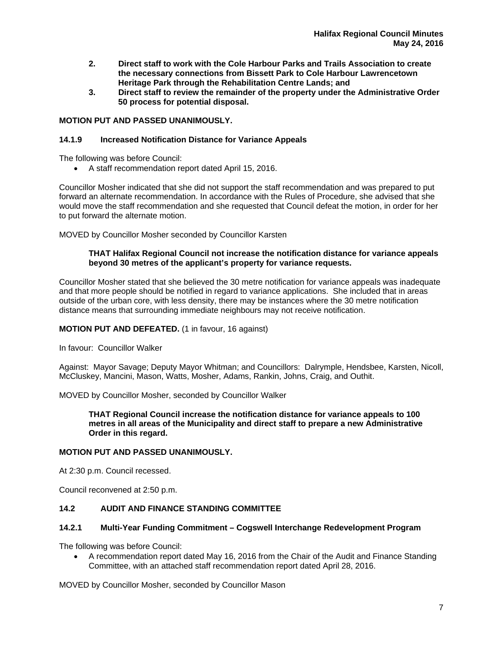- **2. Direct staff to work with the Cole Harbour Parks and Trails Association to create the necessary connections from Bissett Park to Cole Harbour Lawrencetown Heritage Park through the Rehabilitation Centre Lands; and**
- **3. Direct staff to review the remainder of the property under the Administrative Order 50 process for potential disposal.**

# **MOTION PUT AND PASSED UNANIMOUSLY.**

# **14.1.9 Increased Notification Distance for Variance Appeals**

The following was before Council:

A staff recommendation report dated April 15, 2016.

Councillor Mosher indicated that she did not support the staff recommendation and was prepared to put forward an alternate recommendation. In accordance with the Rules of Procedure, she advised that she would move the staff recommendation and she requested that Council defeat the motion, in order for her to put forward the alternate motion.

MOVED by Councillor Mosher seconded by Councillor Karsten

## **THAT Halifax Regional Council not increase the notification distance for variance appeals beyond 30 metres of the applicant's property for variance requests.**

Councillor Mosher stated that she believed the 30 metre notification for variance appeals was inadequate and that more people should be notified in regard to variance applications. She included that in areas outside of the urban core, with less density, there may be instances where the 30 metre notification distance means that surrounding immediate neighbours may not receive notification.

#### **MOTION PUT AND DEFEATED.** (1 in favour, 16 against)

In favour: Councillor Walker

Against: Mayor Savage; Deputy Mayor Whitman; and Councillors: Dalrymple, Hendsbee, Karsten, Nicoll, McCluskey, Mancini, Mason, Watts, Mosher, Adams, Rankin, Johns, Craig, and Outhit.

MOVED by Councillor Mosher, seconded by Councillor Walker

**THAT Regional Council increase the notification distance for variance appeals to 100 metres in all areas of the Municipality and direct staff to prepare a new Administrative Order in this regard.** 

#### **MOTION PUT AND PASSED UNANIMOUSLY.**

At 2:30 p.m. Council recessed.

Council reconvened at 2:50 p.m.

# **14.2 AUDIT AND FINANCE STANDING COMMITTEE**

#### **14.2.1 Multi-Year Funding Commitment – Cogswell Interchange Redevelopment Program**

The following was before Council:

 A recommendation report dated May 16, 2016 from the Chair of the Audit and Finance Standing Committee, with an attached staff recommendation report dated April 28, 2016.

MOVED by Councillor Mosher, seconded by Councillor Mason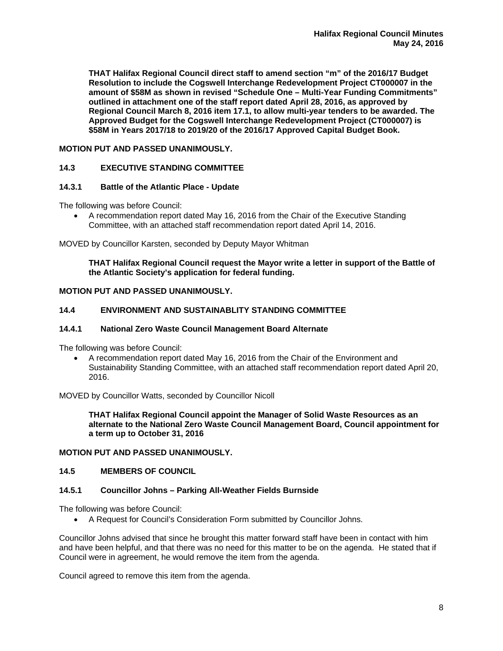**THAT Halifax Regional Council direct staff to amend section "m" of the 2016/17 Budget Resolution to include the Cogswell Interchange Redevelopment Project CT000007 in the amount of \$58M as shown in revised "Schedule One – Multi-Year Funding Commitments" outlined in attachment one of the staff report dated April 28, 2016, as approved by Regional Council March 8, 2016 item 17.1, to allow multi-year tenders to be awarded. The Approved Budget for the Cogswell Interchange Redevelopment Project (CT000007) is \$58M in Years 2017/18 to 2019/20 of the 2016/17 Approved Capital Budget Book.** 

# **MOTION PUT AND PASSED UNANIMOUSLY.**

# **14.3 EXECUTIVE STANDING COMMITTEE**

#### **14.3.1 Battle of the Atlantic Place - Update**

The following was before Council:

 A recommendation report dated May 16, 2016 from the Chair of the Executive Standing Committee, with an attached staff recommendation report dated April 14, 2016.

MOVED by Councillor Karsten, seconded by Deputy Mayor Whitman

# **THAT Halifax Regional Council request the Mayor write a letter in support of the Battle of the Atlantic Society's application for federal funding.**

# **MOTION PUT AND PASSED UNANIMOUSLY.**

# **14.4 ENVIRONMENT AND SUSTAINABLITY STANDING COMMITTEE**

#### **14.4.1 National Zero Waste Council Management Board Alternate**

The following was before Council:

 A recommendation report dated May 16, 2016 from the Chair of the Environment and Sustainability Standing Committee, with an attached staff recommendation report dated April 20, 2016.

MOVED by Councillor Watts, seconded by Councillor Nicoll

**THAT Halifax Regional Council appoint the Manager of Solid Waste Resources as an alternate to the National Zero Waste Council Management Board, Council appointment for a term up to October 31, 2016** 

# **MOTION PUT AND PASSED UNANIMOUSLY.**

#### **14.5 MEMBERS OF COUNCIL**

#### **14.5.1 Councillor Johns – Parking All-Weather Fields Burnside**

The following was before Council:

A Request for Council's Consideration Form submitted by Councillor Johns.

Councillor Johns advised that since he brought this matter forward staff have been in contact with him and have been helpful, and that there was no need for this matter to be on the agenda. He stated that if Council were in agreement, he would remove the item from the agenda.

Council agreed to remove this item from the agenda.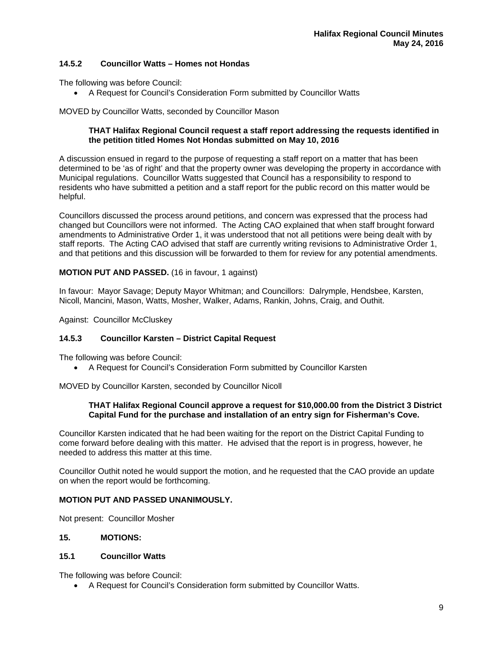# **14.5.2 Councillor Watts – Homes not Hondas**

The following was before Council:

A Request for Council's Consideration Form submitted by Councillor Watts

MOVED by Councillor Watts, seconded by Councillor Mason

# **THAT Halifax Regional Council request a staff report addressing the requests identified in the petition titled Homes Not Hondas submitted on May 10, 2016**

A discussion ensued in regard to the purpose of requesting a staff report on a matter that has been determined to be 'as of right' and that the property owner was developing the property in accordance with Municipal regulations. Councillor Watts suggested that Council has a responsibility to respond to residents who have submitted a petition and a staff report for the public record on this matter would be helpful.

Councillors discussed the process around petitions, and concern was expressed that the process had changed but Councillors were not informed. The Acting CAO explained that when staff brought forward amendments to Administrative Order 1, it was understood that not all petitions were being dealt with by staff reports. The Acting CAO advised that staff are currently writing revisions to Administrative Order 1, and that petitions and this discussion will be forwarded to them for review for any potential amendments.

# **MOTION PUT AND PASSED.** (16 in favour, 1 against)

In favour: Mayor Savage; Deputy Mayor Whitman; and Councillors: Dalrymple, Hendsbee, Karsten, Nicoll, Mancini, Mason, Watts, Mosher, Walker, Adams, Rankin, Johns, Craig, and Outhit.

Against: Councillor McCluskey

# **14.5.3 Councillor Karsten – District Capital Request**

The following was before Council:

A Request for Council's Consideration Form submitted by Councillor Karsten

MOVED by Councillor Karsten, seconded by Councillor Nicoll

#### **THAT Halifax Regional Council approve a request for \$10,000.00 from the District 3 District Capital Fund for the purchase and installation of an entry sign for Fisherman's Cove.**

Councillor Karsten indicated that he had been waiting for the report on the District Capital Funding to come forward before dealing with this matter. He advised that the report is in progress, however, he needed to address this matter at this time.

Councillor Outhit noted he would support the motion, and he requested that the CAO provide an update on when the report would be forthcoming.

#### **MOTION PUT AND PASSED UNANIMOUSLY.**

Not present: Councillor Mosher

#### **15. MOTIONS:**

# **15.1 Councillor Watts**

The following was before Council:

A Request for Council's Consideration form submitted by Councillor Watts.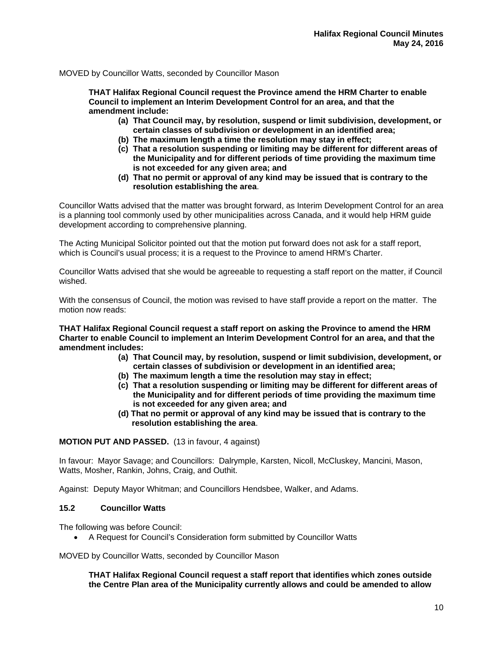MOVED by Councillor Watts, seconded by Councillor Mason

**THAT Halifax Regional Council request the Province amend the HRM Charter to enable Council to implement an Interim Development Control for an area, and that the amendment include:** 

- **(a) That Council may, by resolution, suspend or limit subdivision, development, or certain classes of subdivision or development in an identified area;**
- **(b) The maximum length a time the resolution may stay in effect;**
- **(c) That a resolution suspending or limiting may be different for different areas of the Municipality and for different periods of time providing the maximum time is not exceeded for any given area; and**
- **(d) That no permit or approval of any kind may be issued that is contrary to the resolution establishing the area**.

Councillor Watts advised that the matter was brought forward, as Interim Development Control for an area is a planning tool commonly used by other municipalities across Canada, and it would help HRM guide development according to comprehensive planning.

The Acting Municipal Solicitor pointed out that the motion put forward does not ask for a staff report, which is Council's usual process; it is a request to the Province to amend HRM's Charter.

Councillor Watts advised that she would be agreeable to requesting a staff report on the matter, if Council wished.

With the consensus of Council, the motion was revised to have staff provide a report on the matter. The motion now reads:

**THAT Halifax Regional Council request a staff report on asking the Province to amend the HRM Charter to enable Council to implement an Interim Development Control for an area, and that the amendment includes:** 

- **(a) That Council may, by resolution, suspend or limit subdivision, development, or certain classes of subdivision or development in an identified area;**
- **(b) The maximum length a time the resolution may stay in effect;**
- **(c) That a resolution suspending or limiting may be different for different areas of the Municipality and for different periods of time providing the maximum time is not exceeded for any given area; and**
- **(d) That no permit or approval of any kind may be issued that is contrary to the resolution establishing the area**.

**MOTION PUT AND PASSED.** (13 in favour, 4 against)

In favour: Mayor Savage; and Councillors: Dalrymple, Karsten, Nicoll, McCluskey, Mancini, Mason, Watts, Mosher, Rankin, Johns, Craig, and Outhit.

Against: Deputy Mayor Whitman; and Councillors Hendsbee, Walker, and Adams.

#### **15.2 Councillor Watts**

The following was before Council:

A Request for Council's Consideration form submitted by Councillor Watts

MOVED by Councillor Watts, seconded by Councillor Mason

**THAT Halifax Regional Council request a staff report that identifies which zones outside the Centre Plan area of the Municipality currently allows and could be amended to allow**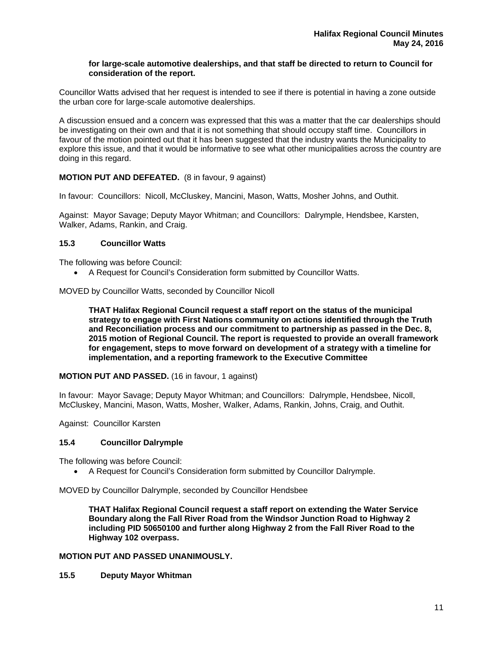# **for large-scale automotive dealerships, and that staff be directed to return to Council for consideration of the report.**

Councillor Watts advised that her request is intended to see if there is potential in having a zone outside the urban core for large-scale automotive dealerships.

A discussion ensued and a concern was expressed that this was a matter that the car dealerships should be investigating on their own and that it is not something that should occupy staff time. Councillors in favour of the motion pointed out that it has been suggested that the industry wants the Municipality to explore this issue, and that it would be informative to see what other municipalities across the country are doing in this regard.

# **MOTION PUT AND DEFEATED.** (8 in favour, 9 against)

In favour: Councillors: Nicoll, McCluskey, Mancini, Mason, Watts, Mosher Johns, and Outhit.

Against: Mayor Savage; Deputy Mayor Whitman; and Councillors: Dalrymple, Hendsbee, Karsten, Walker, Adams, Rankin, and Craig.

#### **15.3 Councillor Watts**

The following was before Council:

A Request for Council's Consideration form submitted by Councillor Watts.

MOVED by Councillor Watts, seconded by Councillor Nicoll

**THAT Halifax Regional Council request a staff report on the status of the municipal strategy to engage with First Nations community on actions identified through the Truth and Reconciliation process and our commitment to partnership as passed in the Dec. 8, 2015 motion of Regional Council. The report is requested to provide an overall framework for engagement, steps to move forward on development of a strategy with a timeline for implementation, and a reporting framework to the Executive Committee** 

# **MOTION PUT AND PASSED.** (16 in favour, 1 against)

In favour: Mayor Savage; Deputy Mayor Whitman; and Councillors: Dalrymple, Hendsbee, Nicoll, McCluskey, Mancini, Mason, Watts, Mosher, Walker, Adams, Rankin, Johns, Craig, and Outhit.

Against: Councillor Karsten

#### **15.4 Councillor Dalrymple**

The following was before Council:

A Request for Council's Consideration form submitted by Councillor Dalrymple.

MOVED by Councillor Dalrymple, seconded by Councillor Hendsbee

**THAT Halifax Regional Council request a staff report on extending the Water Service Boundary along the Fall River Road from the Windsor Junction Road to Highway 2 including PID 50650100 and further along Highway 2 from the Fall River Road to the Highway 102 overpass.** 

## **MOTION PUT AND PASSED UNANIMOUSLY.**

**15.5 Deputy Mayor Whitman**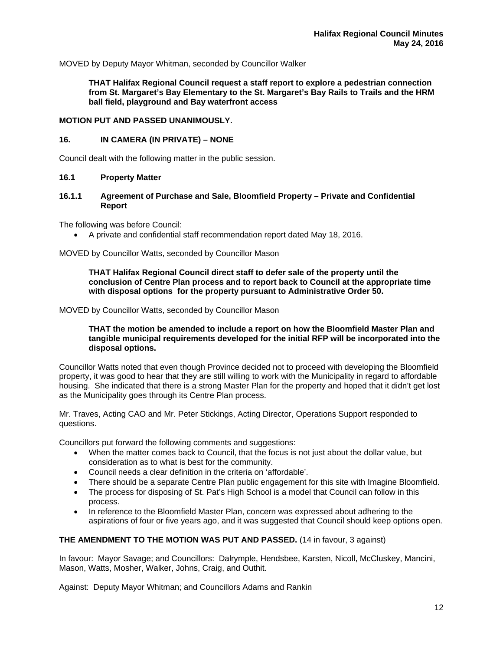MOVED by Deputy Mayor Whitman, seconded by Councillor Walker

**THAT Halifax Regional Council request a staff report to explore a pedestrian connection from St. Margaret's Bay Elementary to the St. Margaret's Bay Rails to Trails and the HRM ball field, playground and Bay waterfront access** 

#### **MOTION PUT AND PASSED UNANIMOUSLY.**

#### **16. IN CAMERA (IN PRIVATE) – NONE**

Council dealt with the following matter in the public session.

## **16.1 Property Matter**

**16.1.1 Agreement of Purchase and Sale, Bloomfield Property – Private and Confidential Report** 

The following was before Council:

A private and confidential staff recommendation report dated May 18, 2016.

MOVED by Councillor Watts, seconded by Councillor Mason

**THAT Halifax Regional Council direct staff to defer sale of the property until the conclusion of Centre Plan process and to report back to Council at the appropriate time with disposal options for the property pursuant to Administrative Order 50.** 

MOVED by Councillor Watts, seconded by Councillor Mason

**THAT the motion be amended to include a report on how the Bloomfield Master Plan and tangible municipal requirements developed for the initial RFP will be incorporated into the disposal options.** 

Councillor Watts noted that even though Province decided not to proceed with developing the Bloomfield property, it was good to hear that they are still willing to work with the Municipality in regard to affordable housing. She indicated that there is a strong Master Plan for the property and hoped that it didn't get lost as the Municipality goes through its Centre Plan process.

Mr. Traves, Acting CAO and Mr. Peter Stickings, Acting Director, Operations Support responded to questions.

Councillors put forward the following comments and suggestions:

- When the matter comes back to Council, that the focus is not just about the dollar value, but consideration as to what is best for the community.
- Council needs a clear definition in the criteria on 'affordable'.
- There should be a separate Centre Plan public engagement for this site with Imagine Bloomfield.
- The process for disposing of St. Pat's High School is a model that Council can follow in this process.
- In reference to the Bloomfield Master Plan, concern was expressed about adhering to the aspirations of four or five years ago, and it was suggested that Council should keep options open.

## **THE AMENDMENT TO THE MOTION WAS PUT AND PASSED.** (14 in favour, 3 against)

In favour: Mayor Savage; and Councillors: Dalrymple, Hendsbee, Karsten, Nicoll, McCluskey, Mancini, Mason, Watts, Mosher, Walker, Johns, Craig, and Outhit.

Against: Deputy Mayor Whitman; and Councillors Adams and Rankin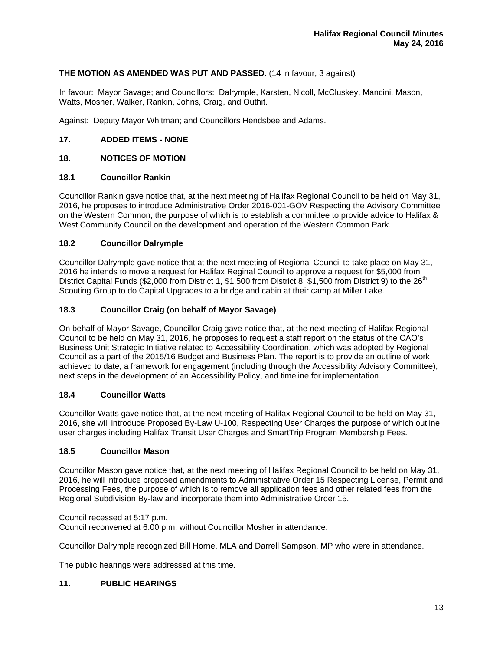# **THE MOTION AS AMENDED WAS PUT AND PASSED.** (14 in favour, 3 against)

In favour: Mayor Savage; and Councillors: Dalrymple, Karsten, Nicoll, McCluskey, Mancini, Mason, Watts, Mosher, Walker, Rankin, Johns, Craig, and Outhit.

Against: Deputy Mayor Whitman; and Councillors Hendsbee and Adams.

# **17. ADDED ITEMS - NONE**

# **18. NOTICES OF MOTION**

# **18.1 Councillor Rankin**

Councillor Rankin gave notice that, at the next meeting of Halifax Regional Council to be held on May 31, 2016, he proposes to introduce Administrative Order 2016-001-GOV Respecting the Advisory Committee on the Western Common, the purpose of which is to establish a committee to provide advice to Halifax & West Community Council on the development and operation of the Western Common Park.

# **18.2 Councillor Dalrymple**

Councillor Dalrymple gave notice that at the next meeting of Regional Council to take place on May 31, 2016 he intends to move a request for Halifax Reginal Council to approve a request for \$5,000 from District Capital Funds (\$2,000 from District 1, \$1,500 from District 8, \$1,500 from District 9) to the 26<sup>th</sup> Scouting Group to do Capital Upgrades to a bridge and cabin at their camp at Miller Lake.

# **18.3 Councillor Craig (on behalf of Mayor Savage)**

On behalf of Mayor Savage, Councillor Craig gave notice that, at the next meeting of Halifax Regional Council to be held on May 31, 2016, he proposes to request a staff report on the status of the CAO's Business Unit Strategic Initiative related to Accessibility Coordination, which was adopted by Regional Council as a part of the 2015/16 Budget and Business Plan. The report is to provide an outline of work achieved to date, a framework for engagement (including through the Accessibility Advisory Committee), next steps in the development of an Accessibility Policy, and timeline for implementation.

# **18.4 Councillor Watts**

Councillor Watts gave notice that, at the next meeting of Halifax Regional Council to be held on May 31, 2016, she will introduce Proposed By-Law U-100, Respecting User Charges the purpose of which outline user charges including Halifax Transit User Charges and SmartTrip Program Membership Fees.

#### **18.5 Councillor Mason**

Councillor Mason gave notice that, at the next meeting of Halifax Regional Council to be held on May 31, 2016, he will introduce proposed amendments to Administrative Order 15 Respecting License, Permit and Processing Fees, the purpose of which is to remove all application fees and other related fees from the Regional Subdivision By-law and incorporate them into Administrative Order 15.

Council recessed at 5:17 p.m.

Council reconvened at 6:00 p.m. without Councillor Mosher in attendance.

Councillor Dalrymple recognized Bill Horne, MLA and Darrell Sampson, MP who were in attendance.

The public hearings were addressed at this time.

# **11. PUBLIC HEARINGS**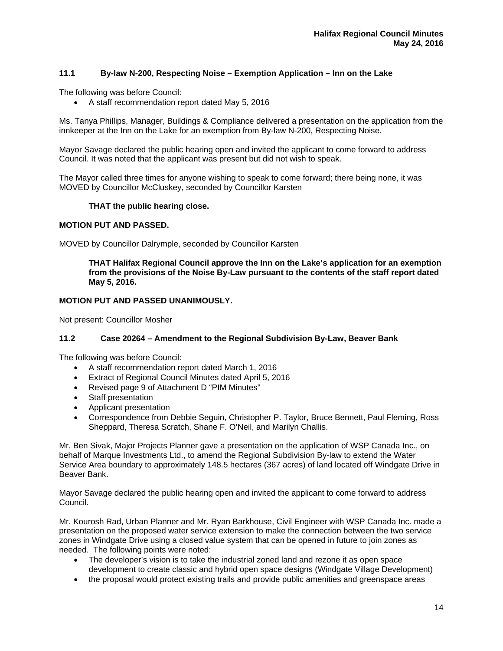# **11.1 By-law N-200, Respecting Noise – Exemption Application – Inn on the Lake**

The following was before Council:

A staff recommendation report dated May 5, 2016

Ms. Tanya Phillips, Manager, Buildings & Compliance delivered a presentation on the application from the innkeeper at the Inn on the Lake for an exemption from By-law N-200, Respecting Noise.

Mayor Savage declared the public hearing open and invited the applicant to come forward to address Council. It was noted that the applicant was present but did not wish to speak.

The Mayor called three times for anyone wishing to speak to come forward; there being none, it was MOVED by Councillor McCluskey, seconded by Councillor Karsten

#### **THAT the public hearing close.**

#### **MOTION PUT AND PASSED.**

MOVED by Councillor Dalrymple, seconded by Councillor Karsten

**THAT Halifax Regional Council approve the Inn on the Lake's application for an exemption from the provisions of the Noise By-Law pursuant to the contents of the staff report dated May 5, 2016.** 

#### **MOTION PUT AND PASSED UNANIMOUSLY.**

Not present: Councillor Mosher

# **11.2 Case 20264 – Amendment to the Regional Subdivision By-Law, Beaver Bank**

The following was before Council:

- A staff recommendation report dated March 1, 2016
- Extract of Regional Council Minutes dated April 5, 2016
- Revised page 9 of Attachment D "PIM Minutes"
- Staff presentation
- Applicant presentation
- Correspondence from Debbie Seguin, Christopher P. Taylor, Bruce Bennett, Paul Fleming, Ross Sheppard, Theresa Scratch, Shane F. O'Neil, and Marilyn Challis.

Mr. Ben Sivak, Major Projects Planner gave a presentation on the application of WSP Canada Inc., on behalf of Marque Investments Ltd., to amend the Regional Subdivision By-law to extend the Water Service Area boundary to approximately 148.5 hectares (367 acres) of land located off Windgate Drive in Beaver Bank.

Mayor Savage declared the public hearing open and invited the applicant to come forward to address Council.

Mr. Kourosh Rad, Urban Planner and Mr. Ryan Barkhouse, Civil Engineer with WSP Canada Inc. made a presentation on the proposed water service extension to make the connection between the two service zones in Windgate Drive using a closed value system that can be opened in future to join zones as needed. The following points were noted:

- The developer's vision is to take the industrial zoned land and rezone it as open space development to create classic and hybrid open space designs (Windgate Village Development)
- the proposal would protect existing trails and provide public amenities and greenspace areas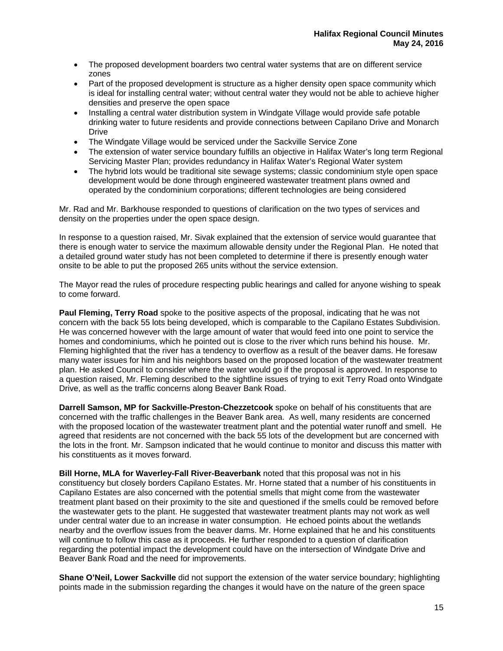- The proposed development boarders two central water systems that are on different service zones
- Part of the proposed development is structure as a higher density open space community which is ideal for installing central water; without central water they would not be able to achieve higher densities and preserve the open space
- Installing a central water distribution system in Windgate Village would provide safe potable drinking water to future residents and provide connections between Capilano Drive and Monarch Drive
- The Windgate Village would be serviced under the Sackville Service Zone
- The extension of water service boundary fulfills an objective in Halifax Water's long term Regional Servicing Master Plan; provides redundancy in Halifax Water's Regional Water system
- The hybrid lots would be traditional site sewage systems; classic condominium style open space development would be done through engineered wastewater treatment plans owned and operated by the condominium corporations; different technologies are being considered

Mr. Rad and Mr. Barkhouse responded to questions of clarification on the two types of services and density on the properties under the open space design.

In response to a question raised, Mr. Sivak explained that the extension of service would guarantee that there is enough water to service the maximum allowable density under the Regional Plan. He noted that a detailed ground water study has not been completed to determine if there is presently enough water onsite to be able to put the proposed 265 units without the service extension.

The Mayor read the rules of procedure respecting public hearings and called for anyone wishing to speak to come forward.

**Paul Fleming, Terry Road** spoke to the positive aspects of the proposal, indicating that he was not concern with the back 55 lots being developed, which is comparable to the Capilano Estates Subdivision. He was concerned however with the large amount of water that would feed into one point to service the homes and condominiums, which he pointed out is close to the river which runs behind his house. Mr. Fleming highlighted that the river has a tendency to overflow as a result of the beaver dams. He foresaw many water issues for him and his neighbors based on the proposed location of the wastewater treatment plan. He asked Council to consider where the water would go if the proposal is approved. In response to a question raised, Mr. Fleming described to the sightline issues of trying to exit Terry Road onto Windgate Drive, as well as the traffic concerns along Beaver Bank Road.

**Darrell Samson, MP for Sackville-Preston-Chezzetcook** spoke on behalf of his constituents that are concerned with the traffic challenges in the Beaver Bank area. As well, many residents are concerned with the proposed location of the wastewater treatment plant and the potential water runoff and smell. He agreed that residents are not concerned with the back 55 lots of the development but are concerned with the lots in the front. Mr. Sampson indicated that he would continue to monitor and discuss this matter with his constituents as it moves forward.

**Bill Horne, MLA for Waverley-Fall River-Beaverbank** noted that this proposal was not in his constituency but closely borders Capilano Estates. Mr. Horne stated that a number of his constituents in Capilano Estates are also concerned with the potential smells that might come from the wastewater treatment plant based on their proximity to the site and questioned if the smells could be removed before the wastewater gets to the plant. He suggested that wastewater treatment plants may not work as well under central water due to an increase in water consumption. He echoed points about the wetlands nearby and the overflow issues from the beaver dams. Mr. Horne explained that he and his constituents will continue to follow this case as it proceeds. He further responded to a question of clarification regarding the potential impact the development could have on the intersection of Windgate Drive and Beaver Bank Road and the need for improvements.

**Shane O'Neil, Lower Sackville** did not support the extension of the water service boundary; highlighting points made in the submission regarding the changes it would have on the nature of the green space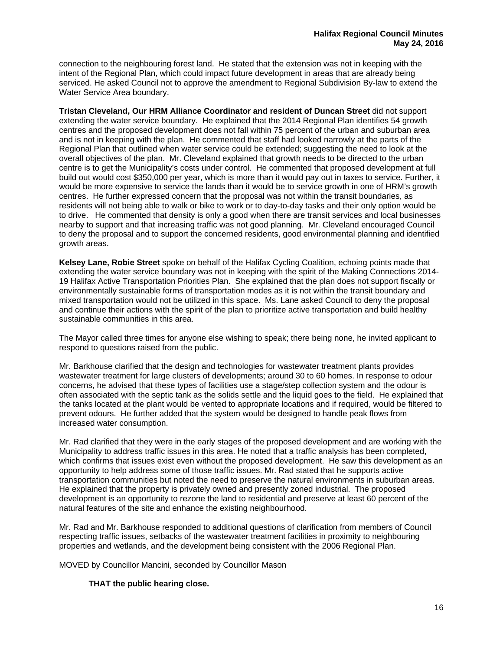connection to the neighbouring forest land. He stated that the extension was not in keeping with the intent of the Regional Plan, which could impact future development in areas that are already being serviced. He asked Council not to approve the amendment to Regional Subdivision By-law to extend the Water Service Area boundary.

**Tristan Cleveland, Our HRM Alliance Coordinator and resident of Duncan Street** did not support extending the water service boundary. He explained that the 2014 Regional Plan identifies 54 growth centres and the proposed development does not fall within 75 percent of the urban and suburban area and is not in keeping with the plan. He commented that staff had looked narrowly at the parts of the Regional Plan that outlined when water service could be extended; suggesting the need to look at the overall objectives of the plan. Mr. Cleveland explained that growth needs to be directed to the urban centre is to get the Municipality's costs under control. He commented that proposed development at full build out would cost \$350,000 per year, which is more than it would pay out in taxes to service. Further, it would be more expensive to service the lands than it would be to service growth in one of HRM's growth centres. He further expressed concern that the proposal was not within the transit boundaries, as residents will not being able to walk or bike to work or to day-to-day tasks and their only option would be to drive. He commented that density is only a good when there are transit services and local businesses nearby to support and that increasing traffic was not good planning. Mr. Cleveland encouraged Council to deny the proposal and to support the concerned residents, good environmental planning and identified growth areas.

**Kelsey Lane, Robie Street** spoke on behalf of the Halifax Cycling Coalition, echoing points made that extending the water service boundary was not in keeping with the spirit of the Making Connections 2014- 19 Halifax Active Transportation Priorities Plan. She explained that the plan does not support fiscally or environmentally sustainable forms of transportation modes as it is not within the transit boundary and mixed transportation would not be utilized in this space. Ms. Lane asked Council to deny the proposal and continue their actions with the spirit of the plan to prioritize active transportation and build healthy sustainable communities in this area.

The Mayor called three times for anyone else wishing to speak; there being none, he invited applicant to respond to questions raised from the public.

Mr. Barkhouse clarified that the design and technologies for wastewater treatment plants provides wastewater treatment for large clusters of developments; around 30 to 60 homes. In response to odour concerns, he advised that these types of facilities use a stage/step collection system and the odour is often associated with the septic tank as the solids settle and the liquid goes to the field. He explained that the tanks located at the plant would be vented to appropriate locations and if required, would be filtered to prevent odours. He further added that the system would be designed to handle peak flows from increased water consumption.

Mr. Rad clarified that they were in the early stages of the proposed development and are working with the Municipality to address traffic issues in this area. He noted that a traffic analysis has been completed, which confirms that issues exist even without the proposed development. He saw this development as an opportunity to help address some of those traffic issues. Mr. Rad stated that he supports active transportation communities but noted the need to preserve the natural environments in suburban areas. He explained that the property is privately owned and presently zoned industrial. The proposed development is an opportunity to rezone the land to residential and preserve at least 60 percent of the natural features of the site and enhance the existing neighbourhood.

Mr. Rad and Mr. Barkhouse responded to additional questions of clarification from members of Council respecting traffic issues, setbacks of the wastewater treatment facilities in proximity to neighbouring properties and wetlands, and the development being consistent with the 2006 Regional Plan.

MOVED by Councillor Mancini, seconded by Councillor Mason

# **THAT the public hearing close.**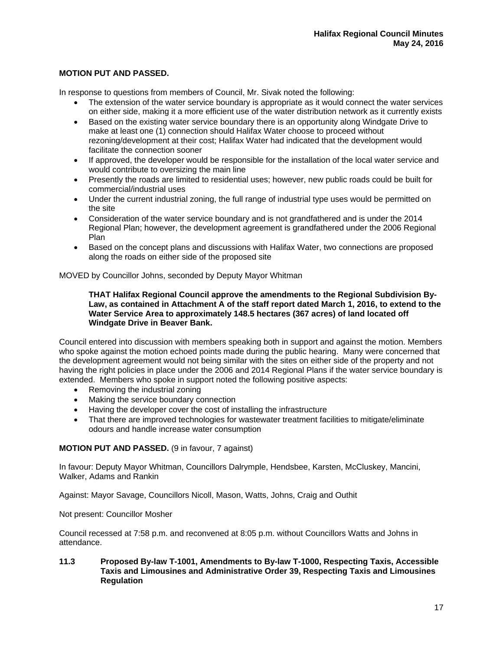# **MOTION PUT AND PASSED.**

In response to questions from members of Council, Mr. Sivak noted the following:

- The extension of the water service boundary is appropriate as it would connect the water services on either side, making it a more efficient use of the water distribution network as it currently exists
- Based on the existing water service boundary there is an opportunity along Windgate Drive to make at least one (1) connection should Halifax Water choose to proceed without rezoning/development at their cost; Halifax Water had indicated that the development would facilitate the connection sooner
- If approved, the developer would be responsible for the installation of the local water service and would contribute to oversizing the main line
- Presently the roads are limited to residential uses; however, new public roads could be built for commercial/industrial uses
- Under the current industrial zoning, the full range of industrial type uses would be permitted on the site
- Consideration of the water service boundary and is not grandfathered and is under the 2014 Regional Plan; however, the development agreement is grandfathered under the 2006 Regional Plan
- Based on the concept plans and discussions with Halifax Water, two connections are proposed along the roads on either side of the proposed site

MOVED by Councillor Johns, seconded by Deputy Mayor Whitman

#### **THAT Halifax Regional Council approve the amendments to the Regional Subdivision By-Law, as contained in Attachment A of the staff report dated March 1, 2016, to extend to the Water Service Area to approximately 148.5 hectares (367 acres) of land located off Windgate Drive in Beaver Bank.**

Council entered into discussion with members speaking both in support and against the motion. Members who spoke against the motion echoed points made during the public hearing. Many were concerned that the development agreement would not being similar with the sites on either side of the property and not having the right policies in place under the 2006 and 2014 Regional Plans if the water service boundary is extended. Members who spoke in support noted the following positive aspects:

- Removing the industrial zoning
- Making the service boundary connection
- Having the developer cover the cost of installing the infrastructure
- That there are improved technologies for wastewater treatment facilities to mitigate/eliminate odours and handle increase water consumption

# **MOTION PUT AND PASSED.** (9 in favour, 7 against)

In favour: Deputy Mayor Whitman, Councillors Dalrymple, Hendsbee, Karsten, McCluskey, Mancini, Walker, Adams and Rankin

Against: Mayor Savage, Councillors Nicoll, Mason, Watts, Johns, Craig and Outhit

Not present: Councillor Mosher

Council recessed at 7:58 p.m. and reconvened at 8:05 p.m. without Councillors Watts and Johns in attendance.

#### **11.3 Proposed By-law T-1001, Amendments to By-law T-1000, Respecting Taxis, Accessible Taxis and Limousines and Administrative Order 39, Respecting Taxis and Limousines Regulation**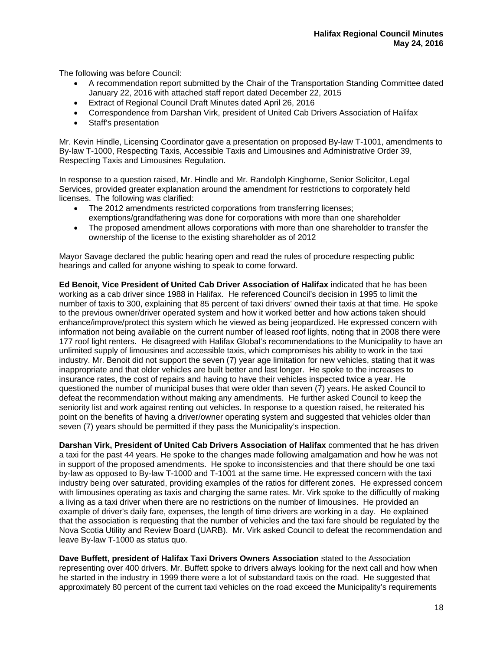The following was before Council:

- A recommendation report submitted by the Chair of the Transportation Standing Committee dated January 22, 2016 with attached staff report dated December 22, 2015
- Extract of Regional Council Draft Minutes dated April 26, 2016
- Correspondence from Darshan Virk, president of United Cab Drivers Association of Halifax
- Staff's presentation

Mr. Kevin Hindle, Licensing Coordinator gave a presentation on proposed By-law T-1001, amendments to By-law T-1000, Respecting Taxis, Accessible Taxis and Limousines and Administrative Order 39, Respecting Taxis and Limousines Regulation.

In response to a question raised, Mr. Hindle and Mr. Randolph Kinghorne, Senior Solicitor, Legal Services, provided greater explanation around the amendment for restrictions to corporately held licenses. The following was clarified:

- The 2012 amendments restricted corporations from transferring licenses; exemptions/grandfathering was done for corporations with more than one shareholder
- The proposed amendment allows corporations with more than one shareholder to transfer the ownership of the license to the existing shareholder as of 2012

Mayor Savage declared the public hearing open and read the rules of procedure respecting public hearings and called for anyone wishing to speak to come forward.

**Ed Benoit, Vice President of United Cab Driver Association of Halifax** indicated that he has been working as a cab driver since 1988 in Halifax. He referenced Council's decision in 1995 to limit the number of taxis to 300, explaining that 85 percent of taxi drivers' owned their taxis at that time. He spoke to the previous owner/driver operated system and how it worked better and how actions taken should enhance/improve/protect this system which he viewed as being jeopardized. He expressed concern with information not being available on the current number of leased roof lights, noting that in 2008 there were 177 roof light renters. He disagreed with Halifax Global's recommendations to the Municipality to have an unlimited supply of limousines and accessible taxis, which compromises his ability to work in the taxi industry. Mr. Benoit did not support the seven (7) year age limitation for new vehicles, stating that it was inappropriate and that older vehicles are built better and last longer. He spoke to the increases to insurance rates, the cost of repairs and having to have their vehicles inspected twice a year. He questioned the number of municipal buses that were older than seven (7) years. He asked Council to defeat the recommendation without making any amendments. He further asked Council to keep the seniority list and work against renting out vehicles. In response to a question raised, he reiterated his point on the benefits of having a driver/owner operating system and suggested that vehicles older than seven (7) years should be permitted if they pass the Municipality's inspection.

**Darshan Virk, President of United Cab Drivers Association of Halifax** commented that he has driven a taxi for the past 44 years. He spoke to the changes made following amalgamation and how he was not in support of the proposed amendments. He spoke to inconsistencies and that there should be one taxi by-law as opposed to By-law T-1000 and T-1001 at the same time. He expressed concern with the taxi industry being over saturated, providing examples of the ratios for different zones. He expressed concern with limousines operating as taxis and charging the same rates. Mr. Virk spoke to the difficultly of making a living as a taxi driver when there are no restrictions on the number of limousines. He provided an example of driver's daily fare, expenses, the length of time drivers are working in a day. He explained that the association is requesting that the number of vehicles and the taxi fare should be regulated by the Nova Scotia Utility and Review Board (UARB). Mr. Virk asked Council to defeat the recommendation and leave By-law T-1000 as status quo.

**Dave Buffett, president of Halifax Taxi Drivers Owners Association** stated to the Association representing over 400 drivers. Mr. Buffett spoke to drivers always looking for the next call and how when he started in the industry in 1999 there were a lot of substandard taxis on the road. He suggested that approximately 80 percent of the current taxi vehicles on the road exceed the Municipality's requirements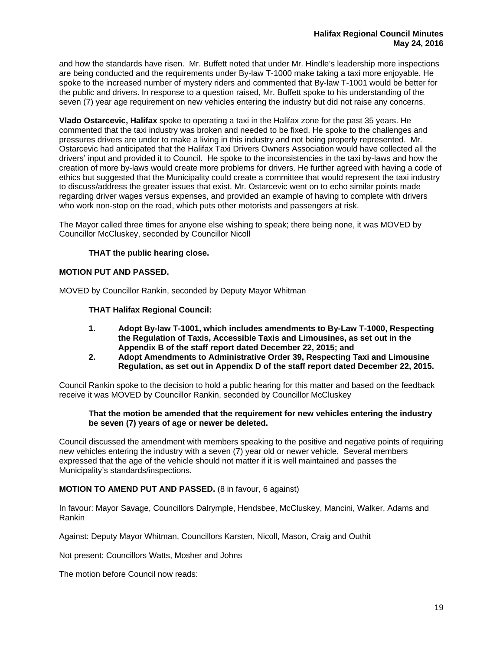and how the standards have risen. Mr. Buffett noted that under Mr. Hindle's leadership more inspections are being conducted and the requirements under By-law T-1000 make taking a taxi more enjoyable. He spoke to the increased number of mystery riders and commented that By-law T-1001 would be better for the public and drivers. In response to a question raised, Mr. Buffett spoke to his understanding of the seven (7) year age requirement on new vehicles entering the industry but did not raise any concerns.

**Vlado Ostarcevic, Halifax** spoke to operating a taxi in the Halifax zone for the past 35 years. He commented that the taxi industry was broken and needed to be fixed. He spoke to the challenges and pressures drivers are under to make a living in this industry and not being properly represented. Mr. Ostarcevic had anticipated that the Halifax Taxi Drivers Owners Association would have collected all the drivers' input and provided it to Council. He spoke to the inconsistencies in the taxi by-laws and how the creation of more by-laws would create more problems for drivers. He further agreed with having a code of ethics but suggested that the Municipality could create a committee that would represent the taxi industry to discuss/address the greater issues that exist. Mr. Ostarcevic went on to echo similar points made regarding driver wages versus expenses, and provided an example of having to complete with drivers who work non-stop on the road, which puts other motorists and passengers at risk.

The Mayor called three times for anyone else wishing to speak; there being none, it was MOVED by Councillor McCluskey, seconded by Councillor Nicoll

# **THAT the public hearing close.**

## **MOTION PUT AND PASSED.**

MOVED by Councillor Rankin, seconded by Deputy Mayor Whitman

#### **THAT Halifax Regional Council:**

- **1. Adopt By-law T-1001, which includes amendments to By-Law T-1000, Respecting the Regulation of Taxis, Accessible Taxis and Limousines, as set out in the Appendix B of the staff report dated December 22, 2015; and**
- **2. Adopt Amendments to Administrative Order 39, Respecting Taxi and Limousine Regulation, as set out in Appendix D of the staff report dated December 22, 2015.**

Council Rankin spoke to the decision to hold a public hearing for this matter and based on the feedback receive it was MOVED by Councillor Rankin, seconded by Councillor McCluskey

#### **That the motion be amended that the requirement for new vehicles entering the industry be seven (7) years of age or newer be deleted.**

Council discussed the amendment with members speaking to the positive and negative points of requiring new vehicles entering the industry with a seven (7) year old or newer vehicle. Several members expressed that the age of the vehicle should not matter if it is well maintained and passes the Municipality's standards/inspections.

## **MOTION TO AMEND PUT AND PASSED.** (8 in favour, 6 against)

In favour: Mayor Savage, Councillors Dalrymple, Hendsbee, McCluskey, Mancini, Walker, Adams and Rankin

Against: Deputy Mayor Whitman, Councillors Karsten, Nicoll, Mason, Craig and Outhit

Not present: Councillors Watts, Mosher and Johns

The motion before Council now reads: